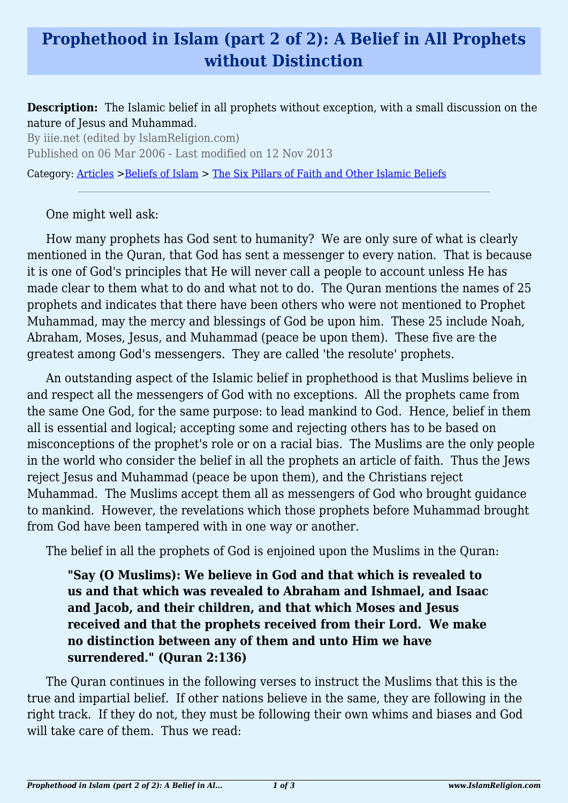# **Prophethood in Islam (part 2 of 2): A Belief in All Prophets without Distinction**

#### **Description:** The Islamic belief in all prophets without exception, with a small discussion on the nature of Jesus and Muhammad.

By iiie.net (edited by IslamReligion.com) Published on 06 Mar 2006 - Last modified on 12 Nov 2013

Category: [Articles](http://www.islamreligion.com/articles/) >[Beliefs of Islam](http://www.islamreligion.com/category/48/) > [The Six Pillars of Faith and Other Islamic Beliefs](http://www.islamreligion.com/category/50/)

#### One might well ask:

How many prophets has God sent to humanity? We are only sure of what is clearly mentioned in the Quran, that God has sent a messenger to every nation. That is because it is one of God's principles that He will never call a people to account unless He has made clear to them what to do and what not to do. The Quran mentions the names of 25 prophets and indicates that there have been others who were not mentioned to Prophet Muhammad, may the mercy and blessings of God be upon him. These 25 include Noah, Abraham, Moses, Jesus, and Muhammad (peace be upon them). These five are the greatest among God's messengers. They are called 'the resolute' prophets.

An outstanding aspect of the Islamic belief in prophethood is that Muslims believe in and respect all the messengers of God with no exceptions. All the prophets came from the same One God, for the same purpose: to lead mankind to God. Hence, belief in them all is essential and logical; accepting some and rejecting others has to be based on misconceptions of the prophet's role or on a racial bias. The Muslims are the only people in the world who consider the belief in all the prophets an article of faith. Thus the Jews reject Jesus and Muhammad (peace be upon them), and the Christians reject Muhammad. The Muslims accept them all as messengers of God who brought guidance to mankind. However, the revelations which those prophets before Muhammad brought from God have been tampered with in one way or another.

The belief in all the prophets of God is enjoined upon the Muslims in the Quran:

**"Say (O Muslims): We believe in God and that which is revealed to us and that which was revealed to Abraham and Ishmael, and Isaac and Jacob, and their children, and that which Moses and Jesus received and that the prophets received from their Lord. We make no distinction between any of them and unto Him we have surrendered." (Quran 2:136)**

The Quran continues in the following verses to instruct the Muslims that this is the true and impartial belief. If other nations believe in the same, they are following in the right track. If they do not, they must be following their own whims and biases and God will take care of them. Thus we read: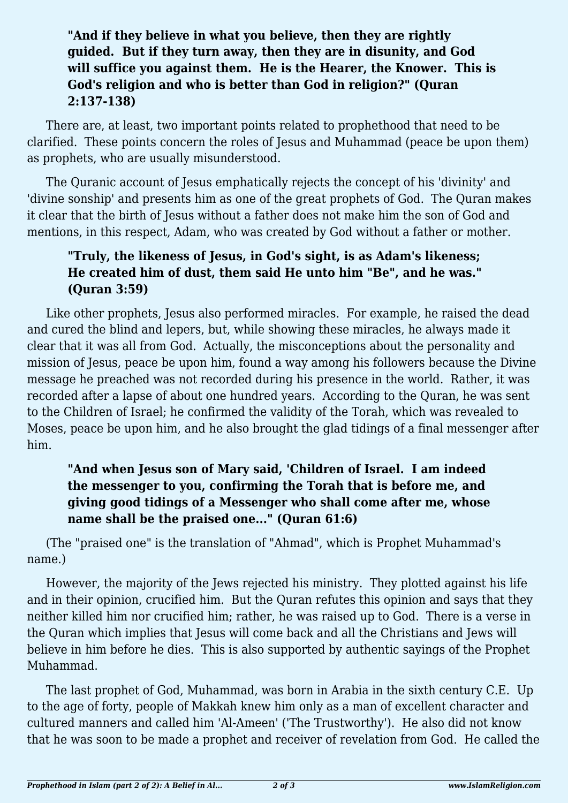### **"And if they believe in what you believe, then they are rightly guided. But if they turn away, then they are in disunity, and God will suffice you against them. He is the Hearer, the Knower. This is God's religion and who is better than God in religion?" (Quran 2:137-138)**

There are, at least, two important points related to prophethood that need to be clarified. These points concern the roles of Jesus and Muhammad (peace be upon them) as prophets, who are usually misunderstood.

The Quranic account of Jesus emphatically rejects the concept of his 'divinity' and 'divine sonship' and presents him as one of the great prophets of God. The Quran makes it clear that the birth of Jesus without a father does not make him the son of God and mentions, in this respect, Adam, who was created by God without a father or mother.

### **"Truly, the likeness of Jesus, in God's sight, is as Adam's likeness; He created him of dust, them said He unto him "Be", and he was." (Quran 3:59)**

Like other prophets, Jesus also performed miracles. For example, he raised the dead and cured the blind and lepers, but, while showing these miracles, he always made it clear that it was all from God. Actually, the misconceptions about the personality and mission of Jesus, peace be upon him, found a way among his followers because the Divine message he preached was not recorded during his presence in the world. Rather, it was recorded after a lapse of about one hundred years. According to the Quran, he was sent to the Children of Israel; he confirmed the validity of the Torah, which was revealed to Moses, peace be upon him, and he also brought the glad tidings of a final messenger after him.

## **"And when Jesus son of Mary said, 'Children of Israel. I am indeed the messenger to you, confirming the Torah that is before me, and giving good tidings of a Messenger who shall come after me, whose name shall be the praised one..." (Quran 61:6)**

(The "praised one" is the translation of "Ahmad", which is Prophet Muhammad's name.)

However, the majority of the Jews rejected his ministry. They plotted against his life and in their opinion, crucified him. But the Quran refutes this opinion and says that they neither killed him nor crucified him; rather, he was raised up to God. There is a verse in the Quran which implies that Jesus will come back and all the Christians and Jews will believe in him before he dies. This is also supported by authentic sayings of the Prophet Muhammad.

The last prophet of God, Muhammad, was born in Arabia in the sixth century C.E. Up to the age of forty, people of Makkah knew him only as a man of excellent character and cultured manners and called him 'Al-Ameen' ('The Trustworthy'). He also did not know that he was soon to be made a prophet and receiver of revelation from God. He called the